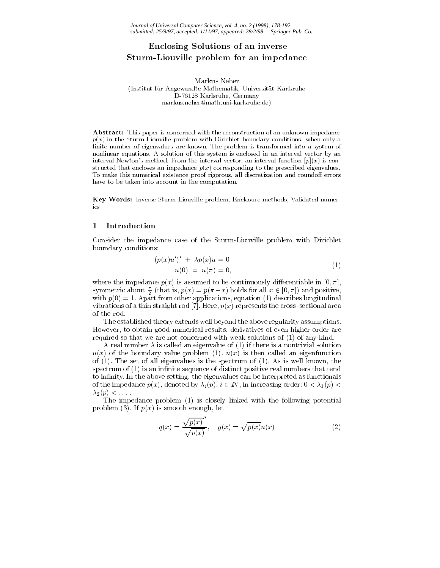# Enclosing Solutions of an inverse of a Sturm-Liouville problem for an impedance

Markus Neher (Institut fur Angewandte Mathematik, Universitat Karlsruhe D-76128 Karlsruhe, Germany markus.neher@math.uni-karlsruhe.de)

Abstract: This paper is concerned with the reconstruction of an unknown impedance  $p(x)$  in the Sturm-Liouville problem with Dirichlet boundary conditions, when only a finite number of eigenvalues are known. The problem is transformed into a system of nonlinear equations. A solution of this system is enclosed in an interval vector by an interval Newton's method. From the interval vector, an interval function  $[p](x)$  is constructed that encloses an impedance  $p(x)$  corresponding to the prescribed eigenvalues. To make this numerical existence proof rigorous, all discretization and roundoff errors have to be taken into account in the computation.

Key Words: Inverse Sturm-Liouville problem, Enclosure methods, Validated numerics

### 1Introduction

Consider the impedance case of the Sturm-Liouville problem with Dirichlet boundary conditions:

$$
(p(x)u')' + \lambda p(x)u = 0 u(0) = u(\pi) = 0,
$$
 (1)

where the impedance  $p(x)$  is assumed to be continuously differentiable in [0,  $\pi$ ], symmetric about  $\frac{1}{2}$  (that is,  $p(x) = p(\pi - x)$  holds for all  $x \in [0, \pi]$ ) and positive, with  $p(0) = 1$ . Apart from other applications, equation (1) describes longitudinal vibrations of a thin straight rod [7]. Here,  $p(x)$  represents the cross-sectional area of the rod.

The established theory extends well beyond the above regularity assumptions. However, to obtain good numerical results, derivatives of even higher order are required so that we are not concerned with weak solutions of (1) of any kind.

A real number  $\lambda$  is called an eigenvalue of (1) if there is a nontrivial solution  $u(x)$  of the boundary value problem (1).  $u(x)$  is then called an eigenfunction of  $(1)$ . The set of all eigenvalues is the spectrum of  $(1)$ . As is well known, the spectrum of  $(1)$  is an infinite sequence of distinct positive real numbers that tend to infinity. In the above setting, the eigenvalues can be interpreted as functionals of the impedance polynomials by increasing orders or increasing orders:  $\mathbf{r}$  $\lambda_2(p)$  <  $\ldots$ 

The impedance problem (1) is closely linked with the following potential problem (3). If  $p(x)$  is smooth enough, let

$$
q(x) = \frac{\sqrt{p(x)}}{\sqrt{p(x)}}, \quad y(x) = \sqrt{p(x)}u(x)
$$
 (2)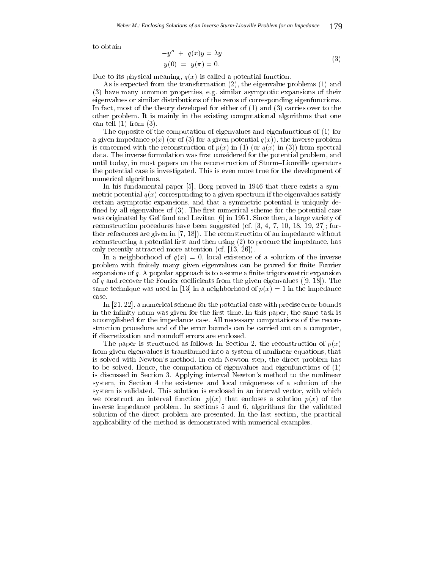to obtain

$$
-y'' + q(x)y = \lambda y
$$
  
\n
$$
y(0) = y(\pi) = 0.
$$
\n(3)

Due to its physical meaning,  $q(x)$  is called a potential function.

As is expected from the transformation (2), the eigenvalue problems (1) and (3) have many common properties, e.g. similar asymptotic expansions of their eigenvalues or similar distributions of the zeros of corresponding eigenfunctions. In fact, most of the theory developed for either of (1) and (3) carries over to the other problem. It is mainly in the existing computational algorithms that one can tell (1) from (3).

The opposite of the computation of eigenvalues and eigenfunctions of (1) for a given impedance  $p(x)$  (or of (3) for a given potential  $q(x)$ ), the inverse problem is concerned with the reconstruction of  $p(x)$  in (1) (or  $q(x)$  in (3)) from spectral data. The inverse formulation was first considered for the potential problem, and until today, in most papers on the reconstruction of Sturm-Liouville operators the potential case is investigated. This is even more true for the development of numerical algorithms.

In his fundamental paper [5], Borg proved in 1946 that there exists a symmetric potential  $q(x)$  corresponding to a given spectrum if the eigenvalues satisfy certain asymptotic expansions, and that a symmetric potential is uniquely de fined by all eigenvalues of  $(3)$ . The first numerical scheme for the potential case was originated by Gel'fand and Levitan [6] in 1951. Since then, a large variety of reconstruction procedures have been suggested (cf. [3, 4, 7, 10, 18, 19, 27]; further references are given in [7, 18]). The reconstruction of an impedance without reconstructing a potential first and then using  $(2)$  to procure the impedance, has only recently attracted more attention (cf. [13, 26]).

In a neighborhood of  $q(x) = 0$ , local existence of a solution of the inverse problem with finitely many given eigenvalues can be proved for finite Fourier expansions of  $q$ . A popular approach is to assume a finite trigonometric expansion of q and recover the Fourier coefficients from the given eigenvalues ([9, 18]). The same technique was used in [13] in a neighborhood of  $p(x) = 1$  in the impedance

In [21, 22], a numerical scheme for the potential case with precise error bounds in the infinity norm was given for the first time. In this paper, the same task is accomplished for the impedance case. All necessary computations of the reconstruction procedure and of the error bounds can be carried out on a computer, if discretization and roundoff errors are enclosed.

The paper is structured as follows: In Section 2, the reconstruction of  $p(x)$ from given eigenvalues is transformed into a system of nonlinear equations, that is solved with Newton's method. In each Newton step, the direct problem has to be solved. Hence, the computation of eigenvalues and eigenfunctions of (1) is discussed in Section 3. Applying interval Newton's method to the nonlinear system, in Section 4 the existence and local uniqueness of a solution of the system is validated. This solution is enclosed in an interval vector, with which we construct an interval function  $[p](x)$  that encloses a solution  $p(x)$  of the inverse impedance problem. In sections 5 and 6, algorithms for the validated solution of the direct problem are presented. In the last section, the practical applicability of the method is demonstrated with numerical examples.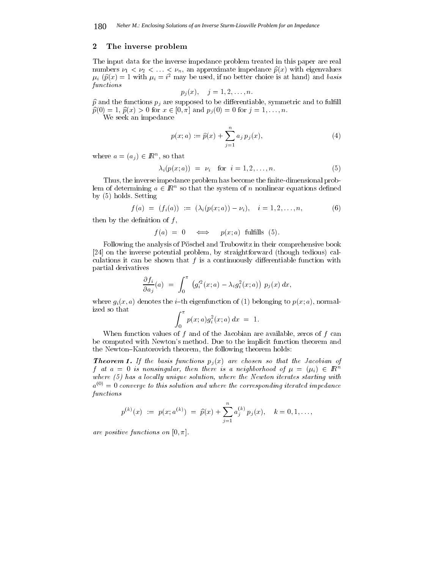## 2The inverse problem

The input data for the inverse impedance problem treated in this paper are real numbers  $\nu_1 < \nu_2 < \ldots < \nu_n$ , an approximate impedance  $\hat{p}(x)$  with eigenvalues  $\mu_i$  ( $\hat{p}(x) = 1$  with  $\mu_i = i^2$  may be used, if no better choice is at hand) and basis functions

$$
p_j(x), \quad j=1,2,\ldots,n.
$$

 $\hat{p}$  and the functions  $p_j$  are supposed to be differentiable, symmetric and to fulfill  $\mathbf{p} \times \mathbf{p} = \mathbf{p} \times \mathbf{p} = \mathbf{p} \times \mathbf{p} = \mathbf{p} \times \mathbf{p} = \mathbf{p} \times \mathbf{p} = \mathbf{p} \times \mathbf{p} = \mathbf{p} \times \mathbf{p} = \mathbf{p} \times \mathbf{p} = \mathbf{p} \times \mathbf{p} = \mathbf{p} \times \mathbf{p} = \mathbf{p} \times \mathbf{p} = \mathbf{p} \times \mathbf{p} = \mathbf{p} \times \mathbf{p} = \mathbf{p} \times \mathbf{p} = \mathbf{p} \times \math$ 

We seek an impedance

$$
p(x; a) := \hat{p}(x) + \sum_{j=1}^{n} a_j p_j(x),
$$
\n(4)

where  $a = (a_j) \in I\!\!R^m$ , so that

$$
\lambda_i(p(x;a)) = \nu_i \quad \text{for} \quad i = 1, 2, \dots, n. \tag{5}
$$

Thus, the inverse impedance problem has become the finite-dimensional problem of determining  $a \in I\!\!R^+$  so that the system of  $n$  nonlinear equations defined by (5) holds. Setting

$$
f(a) = (f_i(a)) := (\lambda_i(p(x;a)) - \nu_i), \quad i = 1, 2, ..., n,
$$
 (6)

then by the definition of  $f$ ,

$$
f(a) = 0 \iff p(x; a) \text{ fulfills (5)}.
$$

Following the analysis of Pöschel and Trubowitz in their comprehensive book [24] on the inverse potential problem, by straightforward (though tedious) calculations it can be shown that  $f$  is a continuously differentiable function with partial derivatives

$$
\frac{\partial f_i}{\partial a_j}(a) = \int_0^{\pi} \left( g_i'^2(x;a) - \lambda_i g_i^2(x;a) \right) p_j(x) dx,
$$

where  $g_i(x, a)$  denotes the *i*-th eigenfunction of (1) belonging to  $p(x; a)$ , normalized so that **ZERO AND RESIDENCE AND RESIDENCE AND RESIDENCE AND RESIDENCE AND RESIDENCE AND RESIDENCE AND RESIDENCE AND RESIDENCE** 

$$
\int_0^{\pi} p(x; a) g_i^2(x; a) \, dx \ = \ 1.
$$

When function values of  $f$  and of the Jacobian are available, zeros of  $f$  can be computed with Newton's method. Due to the implicit function theorem and the Newton-Kantorovich theorem, the following theorem holds:

**Theorem 1.** If the basis functions  $p_j(x)$  are chosen so that the Jacobian of  $f$  at a  $=$  0 is nonsingular, then there is a neighborhood of  $\mu = (\mu_i) \in I\!\!R^m$ where  $(5)$  has a locally unique solution, where the Newton iterates starting with  $a^{(0)} = 0$  converge to this solution and where the corresponding iterated impedance functions

$$
p^{(k)}(x) := p(x; a^{(k)}) = \hat{p}(x) + \sum_{j=1}^{n} a_j^{(k)} p_j(x), \quad k = 0, 1, ...,
$$

are positive functions on  $[0, \pi]$ .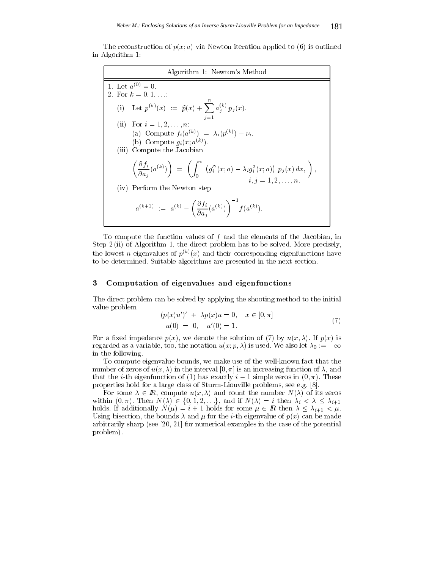The reconstruction of  $p(x; a)$  via Newton iteration applied to (6) is outlined in Algorithm 1:

Algorithm 1: Newton's Method 1. Let  $a_{0} \prime = 0$ . 2. For k = 0; 1;:::: (i) Let  $p^{(k)}(x) := \hat{p}(x) + \sum_{i=1}^{n} a_i^{(k)} p_i(x)$ j=1  $a_j \, q_j(x)$ .  $\mathbf{I}$  and  $\mathbf{I}$  is a  $\mathbf{I}$  if  $\mathbf{I}$  is a set of  $\mathbf{I}$  is a set of  $\mathbf{I}$  is a set of  $\mathbf{I}$  is a set of  $\mathbf{I}$ (a) Compute  $f_i(a^{(k)}) = \lambda_i(p^{(k)}) - \nu_i$ . (b) Compute  $g_i(x; a^{(k)})$ . (iii) Compute the Jacobian  $\partial f_{i} \, \partial f_{i} \, \partial \Omega$  $\frac{\partial f_i}{\partial a_j}(a^{(k)})\bigg) = \left(\int_0^\pi (g_i'^2(x))\right)$  $(g_i'^2(x;a) - \lambda_i g_i^2(x;a)) \, p_j(x) \, dx, \, \, \Big) \, ,$ i; j = 1; 2;:::;n. (iv) Perform the Newton step  $a^{(1)} = a^{(1)} - 1 - (a^{(1)})$  $\int \partial f_{i} \rangle_{(k)}$  $\frac{\partial f_i}{\partial a_j}(a^{(k)})\bigg)^{-1} f(a^{(k)}).$ 

To compute the function values of  $f$  and the elements of the Jacobian, in Step 2 (ii) of Algorithm 1, the direct problem has to be solved. More precisely, the lowest n eigenvalues of  $p^{(k)}(x)$  and their corresponding eigenfunctions have to be determined. Suitable algorithms are presented in the next section.

# 3Computation of eigenvalues and eigenfunctions

The direct problem can be solved by applying the shooting method to the initial value problem

$$
(p(x)u')' + \lambda p(x)u = 0, \quad x \in [0, \pi]
$$
  
 
$$
u(0) = 0, \quad u'(0) = 1.
$$
 (7)

For a fixed impedance  $p(x)$ , we denote the solution of (7) by  $u(x, \lambda)$ . If  $p(x)$  is regarded as a variable, too, the notation u(x;  $\mathbf{r}$ ) is used. We also let  $0$  :  $\mathbf{r}$  is  $\mathbf{r}$ in the following.

To compute eigenvalue bounds, we make use of the well-known fact that the number of zeros of  $u(x, \lambda)$  in the interval  $[0, \pi]$  is an increasing function of  $\lambda$ , and that the i-th eigenfunction of (1) has exactly i  $\cdots$  is simple zeros in (1).). These is properties hold for a large class of Sturm-Liouville problems, see e.g. [8].

For some  $2$  in the number  $\mathcal{N}(i)$  and contribute unit the number  $N(i)$  of its zeros  $N(i)$ holds. If additionally  $N(\mu) = i + 1$  holds for some  $\mu \in \mathbb{R}$  then  $\lambda \leq \lambda_{i+1} < \mu$ .<br>Using bisection, the bounds  $\lambda$  and  $\mu$  for the *i*-th eigenvalue of  $n(x)$  can be made holds. If a distribution  $\mathcal{N}(V)$  is the some for some  $V$  if  $\mathcal{N}(V)$  if  $\mathcal{N}(V)$ Using bisection, the bounds  $\lambda$  and  $\mu$  for the *i*-th eigenvalue of  $p(x)$  can be made arbitrarily sharp (see [20, 21] for numerical examples in the case of the potential problem).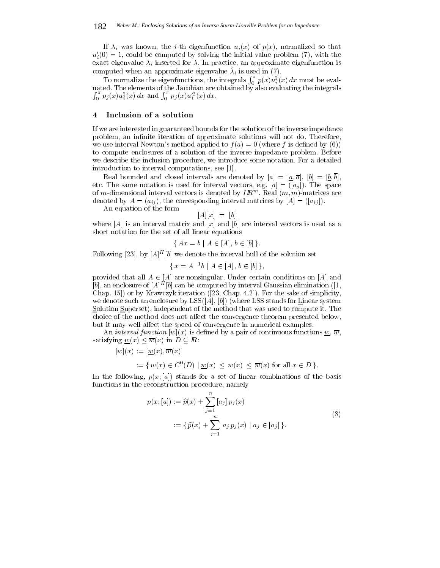If  $\lambda_i$  was known, the *i*-th eigenfunction  $u_i(x)$  of  $p(x)$ , normalized so that  $u_i'(0) = 1$ , could be computed by solving the initial value problem (7), with the exact eigenvalue  $\lambda_i$  inserted for  $\lambda$ . In practice, an approximate eigenfunction is computed when an approximate eigenvalue  $\lambda_i$  is used in (7).

To normalize the eigenfunctions, the integrals  $\int_0^{\pi} p(x) u_i^2(x) dx$  must be eval- $\int_0^{\pi} p_j(x) u_i^2(x) dx$  and  $\int_0^{\pi} p_j(x) u_i'^2(x) dx$ .

### 4Inclusion of <sup>a</sup> solution

If we are interested in guaranteed bounds for the solution of the inverse impedance problem, an infinite iteration of approximate solutions will not do. Therefore, we use interval Newton's method applied to  $f(a) = 0$  (where f is defined by (6)) to compute enclosures of a solution of the inverse impedance problem. Before we describe the inclusion procedure, we introduce some notation. For a detailed introduction to interval computations, see [1].

Real bounded and closed intervals are denoted by [a] <sup>=</sup> [a; a], [b] = [b; b], etc. The same notation is used for interval vectors, e.g.  $\alpha$  interval vectors, e.g.  $\alpha$ of  $m$ -dimensional interval vectors is denoted by  $Im^m$  . Real  $(m,m)$ -matrices are denoted by  $A = (a_{ij})$ , the corresponding interval matrices by  $[A] = ([a_{ij}])$ .

An equation of the form

$$
[A][x] = [b]
$$

where  $[A]$  is an interval matrix and  $[x]$  and  $[b]$  are interval vectors is used as a short notation for the set of all linear equations

$$
\{ \, Ax = b \mid A \in [A], \, b \in [b] \, \}.
$$

Following  $[23]$ , by  $[A]^\sim$   $[\theta]$  we denote the interval hull of the solution set

$$
\{x = A^{-1}b \mid A \in [A], b \in [b]\},\
$$

provided that all A 2 [A] are nonsingular. Under certain conditions on [A] and  $|\theta|,$  an enclosure of  $|A|\!-\!|\theta|$  can be computed by interval Gaussian elimination ([1,  $\!$ Chap. 15]) or by Krawczyk iteration ([23, Chap. 4.2]). For the sake of simplicity, we denote such an enclosure by  $LSS([A], [b])$  (where LSS stands for Linear system Solution Superset), independent of the method that was used to compute it. The choice of the method does not affect the convergence theorem presented below, but it may well affect the speed of convergence in numerical examples.

An interval function  $[w](x)$  is defined by a pair of continuous functions  $\underline{w}, \overline{w}$ , satisfy the  $\omega_{\rm{max}}(x) = \omega_{\rm{max}}(x)$  in D  $\omega_{\rm{max}}(x) = \omega_{\rm{max}}(x)$ 

$$
[w](x):=[\underline{w}(x),\overline{w}(x)]
$$

$$
:= \{ w(x) \in C^0(D) \mid \underline{w}(x) \le w(x) \le \overline{w}(x) \text{ for all } x \in D \}.
$$

In the following,  $p(x; a)$  stands for a set of linear combinations of the basis functions in the reconstruction procedure, namely

$$
p(x; [a]) := \hat{p}(x) + \sum_{j=1}^{n} [a_j] p_j(x)
$$
  
 := { $\hat{p}(x) + \sum_{j=1}^{n} a_j p_j(x) | a_j \in [a_j]$  }. (8)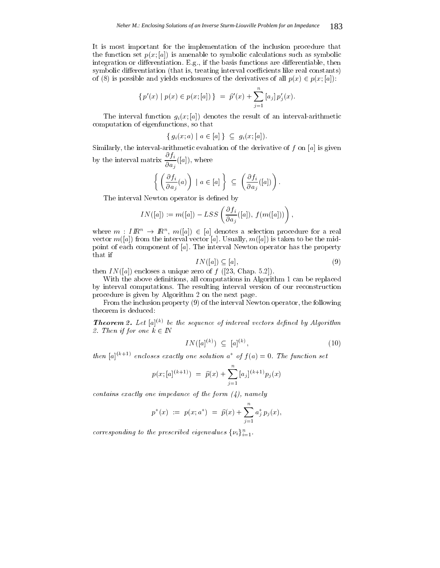It is most important for the implementation of the inclusion procedure that the function set  $p(x; a)$  is amenable to symbolic calculations such as symbolic integration or differentiation. E.g., if the basis functions are differentiable, then symbolic differentiation (that is, treating interval coefficients like real constants) of (8) is possible and yields enclosures of the derivatives of the derivative  $p$  (x)  $\geq p$  (x) [a]):

$$
\{p'(x) \mid p(x) \in p(x; [a])\} = \hat{p}'(x) + \sum_{j=1}^{n} [a_j] p'_j(x).
$$

The interval function  $g_i(x; a)$  denotes the result of an interval-arithmetic computation of eigenfunctions, so that

$$
\{g_i(x;a) \mid a \in [a]\} \subseteq g_i(x; [a]).
$$

Similarly, the interval-arithmetic evaluation of the derivative of  $f$  on [a] is given by the interval matrix  $\frac{\partial}{\partial a_i}([a]),$  where

$$
\left\{ \left( \frac{\partial f_i}{\partial a_j}(a) \right) \mid a \in [a] \right\} \subseteq \left( \frac{\partial f_i}{\partial a_j}([a]) \right).
$$

The interval Newton operator is defined by

$$
IN([a]):= m([a])-LSS\left(\frac{\partial f_i}{\partial a_j}([a]),\,f(m([a]))\right),
$$

where  $m : Im: \rightarrow Im$ ,  $m([a]) \in [a]$  denotes a selection procedure for a real vector  $m([a])$  from the interval vector [a]. Usually,  $m([a])$  is taken to be the midpoint of each component of [a]. The interval Newton operator has the property that if

$$
IN([a]) \subseteq [a], \tag{9}
$$

then  $IN([a])$  encloses a unique zero of  $f([23, Chap. 5.2]).$ 

With the above definitions, all computations in Algorithm 1 can be replaced by interval computations. The resulting interval version of our reconstruction procedure is given by Algorithm 2 on the next page.

From the inclusion property (9) of the interval Newton operator, the following theorem is deduced:

**Theorem 2.** Let  $[a]^{(k)}$  be the sequence of interval vectors defined by Algorithm 2. Then if  $f$  is a line when  $2$  is a line when  $2$  is a line when  $2$  is a line when  $2$  is a line when  $2$  is a line when  $2$  is a line when  $2$  is a line when  $2$  is a line when  $2$  is a line when  $2$  is a line when  $2$ 

$$
IN([a]^{(k)}) \subseteq [a]^{(k)}, \tag{10}
$$

then  $[a]^{(k+1)}$  encloses exactly one solution  $a^*$  of  $f(a)=0$ . The function set

$$
p(x; [a]^{(k+1)}) = \widehat{p}(x) + \sum_{j=1}^{n} [a_j]^{(k+1)} p_j(x)
$$

contains exactly one impedance of the form  $(4)$ , namely

$$
p^*(x) \ := \ p(x;a^*) \ = \ \widehat{p}(x) + \sum_{j=1}^n a_j^* \, p_j(x),
$$

corresponding to the prescribed eigenvalues  $\{\nu_i\}_{i=1}^{\infty}$ .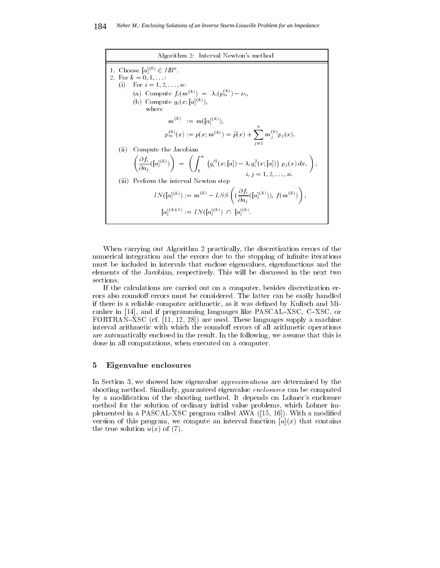

When carrying out Algorithm 2 practically, the discretization errors of the numerical integration and the errors due to the stopping of infinite iterations must be included in intervals that enclose eigenvalues, eigenfunctions and the elements of the Jacobian, respectively. This will be discussed in the next two sections.

If the calculations are carried out on a computer, besides discretization errors also roundoff errors must be considered. The latter can be easily handled if there is a reliable computer arithmetic, as it was defined by Kulisch and Miranker in [14], and if programming languages like PASCAL–XSC, C–XSC, or FORTRAN-XSC (cf.  $[11, 12, 28]$ ) are used. These languages supply a machine interval arithmetic with which the roundoff errors of all arithmetic operations are automatically enclosed in the result. In the following, we assume that this is done in all computations, when executed on a computer.

#### 5Eigenvalue enclosures

In Section 3, we showed how eigenvalue *approximations* are determined by the shooting method. Similarly, guaranteed eigenvalue *enclosures* can be computed by a modication of the shooting method. It depends on Lohner's enclosure method for the solution of ordinary initial value problems, which Lohner implemented in a PASCAL-XSC program called AWA ([15, 16]). With a modified version of this program, we compute an interval function  $[u](x)$  that contains the true solution  $u(x)$  of (7).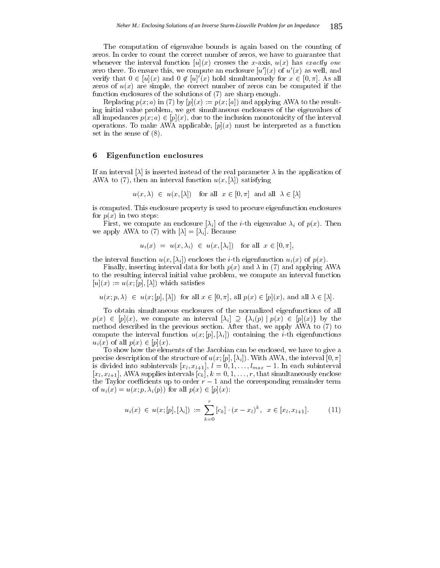The computation of eigenvalue bounds is again based on the counting of zeros. In order to count the correct number of zeros, we have to guarantee that whenever the interval function  $[u](x)$  crosses the x-axis,  $u(x)$  has exactly one zero there. To ensure this, we compute an enclosure  $[u](x)$  of  $u'(x)$  as well, and verify that  $0 \in [u](x)$  and  $0 \notin [u](x)$  hold simultaneously for  $x \in [0, \pi]$ . As all zeros of  $u(x)$  are simple, the correct number of zeros can be computed if the function enclosures of the solutions of (7) are sharp enough.

Replacing  $p(x; a)$  in (7) by  $[p](x) := p(x; a]$  and applying AWA to the resulting initial value problem, we get simultaneous enclosures of the eigenvalues of all impedances politically politically due to the inclusion monotonicity of the interval  $\mathcal{P}(\mathbf{x})$ operations. To make AWA applicable,  $[p](x)$  must be interpreted as a function set in the sense of (8).

#### 6Eigenfunction enclosures

If an interval  $[\lambda]$  is inserted instead of the real parameter  $\lambda$  in the application of AWA to (7), then an interval function  $u(x, [\lambda])$  satisfying

$$
u(x, \lambda) \in u(x, [\lambda])
$$
 for all  $x \in [0, \pi]$  and all  $\lambda \in [\lambda]$ 

is computed. This enclosure property is used to procure eigenfunction enclosures for  $p(x)$  in two steps:

First, we compute an enclosure  $[\lambda_i]$  of the *i*-th eigenvalue  $\lambda_i$  of  $p(x)$ . Then we apply AWA to (7) with  $[\lambda]=[\lambda_i]$ . Because

$$
u_i(x) = u(x, \lambda_i) \in u(x, [\lambda_i]) \quad \text{for all} \ \ x \in [0, \pi],
$$

the interval function  $u(x, [\lambda_i])$  encloses the *i*-th eigenfunction  $u_i(x)$  of  $p(x)$ .

Finally, inserting interval data for both  $p(x)$  and  $\lambda$  in (7) and applying AWA to the resulting interval initial value problem, we compute an interval function  $[u](x) := u(x; [p], [\lambda])$  which satisfies

u(x) 2 u(x) all p(x) iii) for all p(x) 2 i(x) 2 i(x) 2 [p](x), and all p(x) 2 [p](x), and all p(x) 2 [p](x), a

To obtain simultaneous enclosures of the normalized eigenfunctions of all  $p\left(\frac{1}{2},\frac{1}{2},\cdots\right)$  and interpreted and interval  $p\left(\frac{1}{2},\frac{1}{2}\right)$  in  $p\left(\frac{1}{2},\frac{1}{2},\cdots\right)$  in the set of  $p\left(\frac{1}{2},\frac{1}{2},\cdots\right)$ method described in the previous section. After that, we apply AWA to (7) to compute the interval function  $u(x; [p], [\lambda_i])$  containing the *i*-th eigenfunctions uik all p $\mathbf{r}$  and  $\mathbf{r}$  all possible  $\mathbf{r}$ 

To show how the elements of the Jacobian can be enclosed, we have to give a precise description of the structure of  $u(x; [p], [\lambda_i])$ . With AWA, the interval  $[0, \pi]$ is divided into subset  $\mathbb{L}$  ;  $\mathbb{L}$  ;  $\mathbb{L}$   $\mathbb{L}$   $\mathbb{L}$   $\mathbb{L}$   $\mathbb{L}$   $\mathbb{L}$   $\mathbb{L}$   $\mathbb{L}$   $\mathbb{L}$   $\mathbb{L}$   $\mathbb{L}$   $\mathbb{L}$   $\mathbb{L}$   $\mathbb{L}$   $\mathbb{L}$   $\mathbb{L}$   $\mathbb{L}$   $\mathbb{L}$   $\mathbb{L}$   $\mathbb{$  $[x_l, x_{l+1}]$ , AWA supplies intervals  $[c_k]$ ,  $k = 0, 1, \ldots, r$ , that simultaneously enclose the Taylor coecients up to order r  $1$  and the corresponding remainder term  $1$  and the corresponding remainder term  $1$ of uit(x)  $\mathbf{r}$  , which  $\mathbf{r}$  is used to all properties of  $\mathbf{r}$  (x)  $\mathbf{r}$  and  $\mathbf{r}$  (x)  $\mathbf{r}$  and  $\mathbf{r}$ 

$$
u_i(x) \in u(x; [p], [\lambda_i]) := \sum_{k=0}^r [c_k] \cdot (x - x_l)^k, \quad x \in [x_l, x_{l+1}]. \tag{11}
$$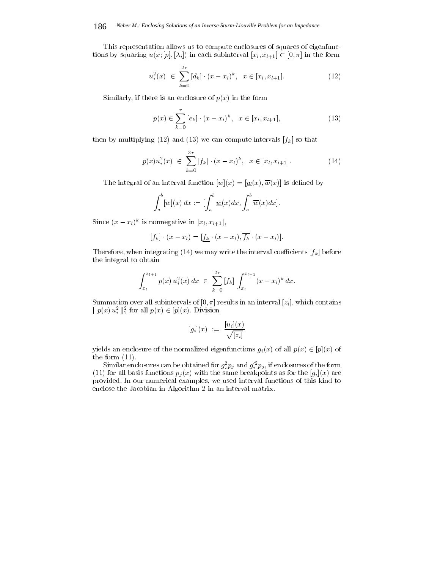This representation allows us to compute enclosures of squares of eigenfunctions by square u(x) in each subset of the form in each subset of the form in the form in the form in the form in the form in the form in the form in the form in the form in the form in the form in the form in the form in

$$
u_i^2(x) \in \sum_{k=0}^{2r} [d_k] \cdot (x - x_l)^k, \quad x \in [x_l, x_{l+1}]. \tag{12}
$$

Similarly, if there is an enclosure of  $p(x)$  in the form

$$
p(x) \in \sum_{k=0}^{r} [e_k] \cdot (x - x_l)^k, \ \ x \in [x_l, x_{l+1}],
$$
\n(13)

then by multiplying (12) and (13) we can compute intervals  $[f_k]$  so that

$$
p(x)u_i^2(x) \in \sum_{k=0}^{3r} [f_k] \cdot (x - x_l)^k, \quad x \in [x_l, x_{l+1}].
$$
 (14)

The integral of an interval function  $[w](x) = [w(x), \overline{w}(x)]$  is defined by

$$
\int_a^b [w](x) \, dx := \left[ \int_a^b \underline{w}(x) \, dx, \int_a^b \overline{w}(x) \, dx \right].
$$

Since  $(x - x_l)$  is nonnegative in  $[x_l, x_{l+1}],$ 

$$
[f_k] \cdot (x - x_l) = [\underline{f_k} \cdot (x - x_l), \overline{f_k} \cdot (x - x_l)].
$$

Therefore, when integrating (14) we may write the interval coefficients  $[f_k]$  before the integral to obtain

$$
\int_{x_l}^{x_{l+1}} p(x) u_i^2(x) dx \in \sum_{k=0}^{2r} [f_k] \int_{x_l}^{x_{l+1}} (x - x_l)^k dx.
$$

Summation over all subintervals of  $[0, \pi]$  results in an interval  $[z_i]$ , which contains  $||p(x)u_i||_2$  for all  $p(x) \in [p](x)$ . Division

$$
[g_i](x) \ := \ \frac{[u_i](x)}{\sqrt{[z_i]}}
$$

 $y = \frac{1}{2} \int_{0}^{1} \frac{1}{2} \int_{0}^{1} \frac{1}{2} \int_{0}^{1} \frac{1}{2} \int_{0}^{1} \frac{1}{2} \int_{0}^{1} \frac{1}{2} \int_{0}^{1} \frac{1}{2} \int_{0}^{1} \frac{1}{2} \int_{0}^{1} \frac{1}{2} \int_{0}^{1} \frac{1}{2} \int_{0}^{1} \frac{1}{2} \int_{0}^{1} \frac{1}{2} \int_{0}^{1} \frac{1}{2} \int_{0}^{1} \frac{1}{2} \int_{0}^{1} \frac{1}{2} \$ the form (11).

Similar enclosures can be obtained for  $g_{\bar{i}}^- p_j$  and  $g_{i}^- p_j,$  if enclosures of the form (1) for all basis functions parameters parameters parameters as for the  $\mathbb{R}^n$  are for the formal parameters as for the same breakdown  $\mathbb{R}^n$ provided. In our numerical examples, we used interval functions of this kind to enclose the Jacobian in Algorithm 2 in an interval matrix.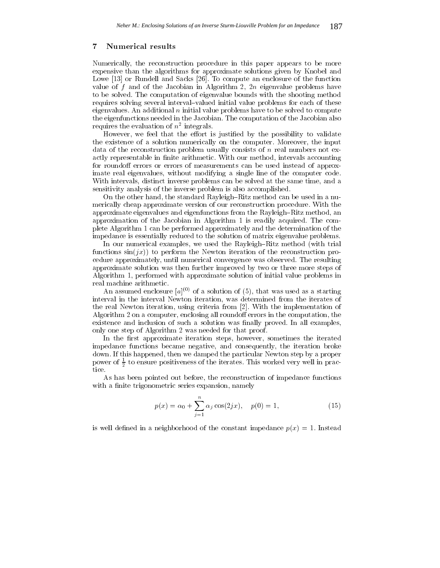# Numerical results

Numerically, the reconstruction procedure in this paper appears to be more expensive than the algorithms for approximate solutions given by Knobel and Lowe [13] or Rundell and Sacks [26]. To compute an enclosure of the function value of f and of the Jacobian in Algorithm 2,  $2n$  eigenvalue problems have to be solved. The computation of eigenvalue bounds with the shooting method requires solving several interval-valued initial value problems for each of these eigenvalues. An additional  $n$  initial value problems have to be solved to compute the eigenfunctions needed in the Jacobian. The computation of the Jacobian also requires the evaluation of  $n$  -integrals.

However, we feel that the effort is justified by the possibility to validate the existence of a solution numerically on the computer. Moreover, the input data of the reconstruction problem usually consists of  $n$  real numbers not exactly representable in finite arithmetic. With our method, intervals accounting for roundoff errors or errors of measurements can be used instead of approximate real eigenvalues, without modifying a single line of the computer code. With intervals, distinct inverse problems can be solved at the same time, and a sensitivity analysis of the inverse problem is also accomplished.

On the other hand, the standard Rayleigh-Ritz method can be used in a numerically cheap approximate version of our reconstruction procedure. With the approximate eigenvalues and eigenfunctions from the Rayleigh-Ritz method, an approximation of the Jacobian in Algorithm 1 is readily acquired. The complete Algorithm 1 can be performed approximately and the determination of the impedance is essentially reduced to the solution of matrix eigenvalue problems.

In our numerical examples, we used the Rayleigh–Ritz method (with trial functions  $sin(jx)$  to perform the Newton iteration of the reconstruction procedure approximately, until numerical convergence was observed. The resulting approximate solution was then further improved by two or three more steps of Algorithm 1, performed with approximate solution of initial value problems in real machine arithmetic.

An assumed enclosure  $[a]^{(0)}$  of a solution of (5), that was used as a starting interval in the interval Newton iteration, was determined from the iterates of the real Newton iteration, using criteria from [2]. With the implementation of Algorithm 2 on a computer, enclosing all roundoff errors in the computation, the existence and inclusion of such a solution was finally proved. In all examples, only one step of Algorithm 2 was needed for that proof.

In the first approximate iteration steps, however, sometimes the iterated impedance functions became negative, and consequently, the iteration broke down. If this happened, then we damped the particular Newton step by a proper power of  $\frac{1}{2}$  to ensure positiveness of the iterates. This worked very well in practice.

As has been pointed out before, the reconstruction of impedance functions with a finite trigonometric series expansion, namely

$$
p(x) = \alpha_0 + \sum_{j=1}^{n} \alpha_j \cos(2jx), \quad p(0) = 1,
$$
 (15)

is well defined in a neighborhood of the constant impedance  $p(x) = 1$ . Instead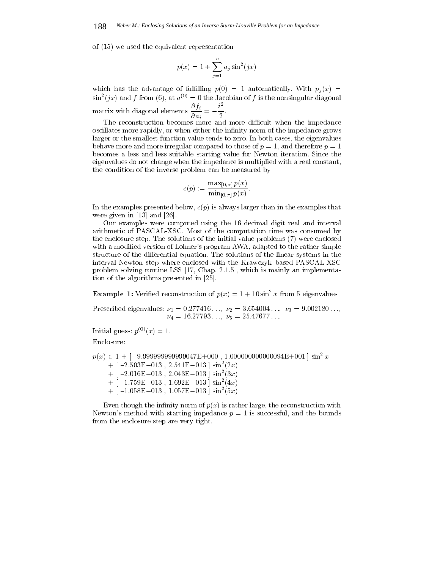of (15) we used the equivalent representation

$$
p(x) = 1 + \sum_{j=1}^{n} a_j \sin^2(jx)
$$

which has the advantage of fulfilling  $p(0) = 1$  automatically. With  $p_i(x) =$  $\sin^2(jx)$  and f from (6), at  $a^{(0)} = 0$  the Jacobian of f is the nonsingular diagonal matrix with diagonal elements  $\frac{\partial}{\partial a_i} = -\frac{\partial}{\partial a_i}$ .  $i^{\perp}$  is a set of  $i^{\perp}$ 

The reconstruction becomes more and more difficult when the impedance oscillates more rapidly, or when either the infinity norm of the impedance grows larger or the smallest function value tends to zero. In both cases, the eigenvalues behave more and more irregular compared to those of  $p = 1$ , and therefore  $p = 1$ becomes a less and less suitable starting value for Newton iteration. Since the eigenvalues do not change when the impedance is multiplied with a real constant, the condition of the inverse problem can be measured by

$$
c(p) := \frac{\max_{[0,\pi]} p(x)}{\min_{[0,\pi]} p(x)}.
$$

In the examples presented below,  $c(p)$  is always larger than in the examples that were given in [13] and [26].

Our examples were computed using the 16 decimal digit real and interval arithmetic of PASCAL-XSC. Most of the computation time was consumed by the enclosure step. The solutions of the initial value problems (7) were enclosed with a modified version of Lohner's program AWA, adapted to the rather simple structure of the differential equation. The solutions of the linear systems in the interval Newton step where enclosed with the Krawczyk–based PASCAL-XSC problem solving routine LSS [17, Chap. 2.1.5], which is mainly an implementation of the algorithms presented in [25].

**Example 1:** Verified reconstruction of  $p(x) = 1 + 10 \sin^2 x$  from 5 eigenvalues

Prescribed eigenvalues:  $\nu_1 = 0.277416...$ ,  $\nu_2 = 3.654004...$ ,  $\nu_3 = 9.002180...$  $\nu_4 = 16.27793..., \nu_5 = 25.47677...$ 

Initial guess:  $p^{(0)}(x) = 1$ .

Enclosure:

 $p(x) \in 1 + 1$  9.999999999999047E+000 , 1.00000000000000094E+001  $\mid$  sin- $x$  $+$  [  $\text{--}2.503E$   $\text{--}013$  , 2.541E  $\text{--}013$  ] sin (2x)  $+$  [  $-$ 2.010E $-$ 013 , 2.043E $-$ 013 ] sin (3x)  $+$  [  $-1.759E$   $-013$  , 1.692E  $-013$  ] sin (4x)  $+$  [  $-1.058$ E $-013$  , 1.057E $-013$  ] sin (5x)

Even though the infinity norm of  $p(x)$  is rather large, the reconstruction with Newton's method with starting impedance  $p = 1$  is successful, and the bounds from the enclosure step are very tight.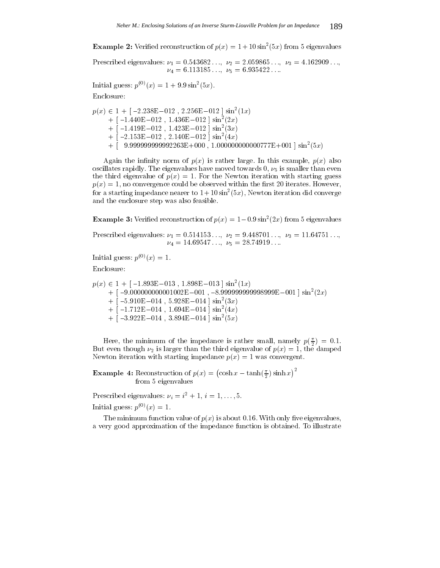**Example 2:** Verified reconstruction of  $p(x) = 1 + 10 \sin^2(\pi x)$  from 5 eigenvalues

Prescribed eigenvalues:  $\nu_1 = 0.543682..., \nu_2 = 2.059865..., \nu_3 = 4.162909...,$  $\nu_4 = 6.113185...$ ,  $\nu_5 = 6.935422...$ 

Initial guess:  $p(y(x) = 1 + 9.9 \sin(x) \cos(x))$ . Enclosure:

 $p(x) \in 1 + [-2.238E - 0.12, 2.256E - 0.12] \sin^{-}(1x)$  $+$  [  $-1.440E - 012$  , 1.436E-012 ] sin<sup>-</sup>(2x)  $+$  [  $-1.419E - 012$  , 1.423E  $-012$  ] sin<sup>-</sup> (3x)  $+$  [  $-$ 2.153E $-$ 012, 2.140E $-$ 012 ] sin<sup>-</sup> (4x)  $+$  | 9.999999999992203E+000 , 1.0000000000000777E+001 |  $\sin$  (5x)

Again the infinity norm of  $p(x)$  is rather large. In this example,  $p(x)$  also oscillates rapidly. The eigenvalues have moved towards  $0, \nu_5$  is smaller than even the third eigenvalue of  $p(x) = 1$ . For the Newton iteration with starting guess  $p(x) = 1$ , no convergence could be observed within the first 20 iterates. However, for a starting impedance nearer to  $1+10\sin^{+}(5x)$ , Newton iteration did converge and the enclosure step was also feasible.

**Example 3:** Verified reconstruction of  $p(x) = 1 - 0.9 \sin^2(2x)$  from 5 eigenvalues

Prescribed eigenvalues:  $\nu_1 = 0.514153..., \nu_2 = 9.448701..., \nu_3 = 11.64751...,$  $\nu_4 = 14.69547...$ ,  $\nu_5 = 28.74919...$ 

Initial guess:  $p^{(0)}(x) = 1$ .

Enclosure:

 $p(x) \in 1 + [-1.893E - 013, 1.898E - 013] \sin^{-}(1x)$  $+$  |  $-$ 3.0000000000001002E $-$ 001 '  $-$ 9.3393939393939398E $-$ 001 | sin $(2x)$  $+$  [  $\text{5.910E}$  – 014, 5.928E – 014 ] sin<sup>-</sup> (3x)  $+$  [  $-1.712E - 014$  , 1.694E-014 ] sin<sup>-</sup> (4x)  $+$  [  $-3.922E - 014$  ,  $3.894E - 014$  ] sin<sup>-</sup> ( $5x$ )

Here, the minimum of the impedance is rather small, namely  $p(\frac{1}{2}) = 0.1$ . But even though  $\nu_2$  is larger than the third eigenvalue of  $p(x) = 1$ , the damped Newton iteration with starting impedance  $p(x)=1$  was convergent.

**Example 4:** Reconstruction of  $p(x) = (\cosh x - \tanh(\frac{\pi}{2})\sinh x)^2$ from 5 eigenvalues

Prescribed eigenvalues:  $\nu_i = i^2 + 1, i = 1, \ldots, 5$ .

Initial guess:  $p^{(0)}(x) = 1$ .

The minimum function value of  $p(x)$  is about 0.16. With only five eigenvalues, a very good approximation of the impedance function is obtained. To illustrate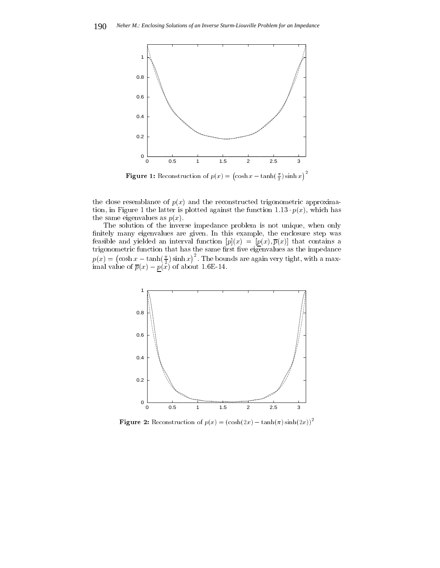

**Figure 1:** Reconstruction of  $p(x) = (\cosh x - \tanh(\frac{\pi}{2})\sinh x)^2$ 

the close resemblance of  $p(x)$  and the reconstructed trigonometric approximation, in Figure 1 the latter is plotted against the function 1:13  $\boldsymbol{r}$  (x), which has  $\boldsymbol{r}$ the same eigenvalues as  $p(x)$ .

The solution of the inverse impedance problem is not unique, when only nitely many eigenvalues are given. In this example, the enclosure step was feasible and yielded an interval function  $[p](x) = [p(x), \overline{p}(x)]$  that contains a  $p(x) = (\cosh x - \tanh(\frac{\pi}{2})\sinh x)^2$ . The bounds are again very tight, with a maximal value of p(x) of about 1.6E-14.6E-14.6E-14.6E-14.6E-14.6E-14.6E-14.6E-14.6E-14.6E-14.6E-14.6E-14.6E-14.6E-



Figure 2: Reconstruction of  $p(x) = (\cosh(2x) - \tanh(\pi) \sinh(2x))^2$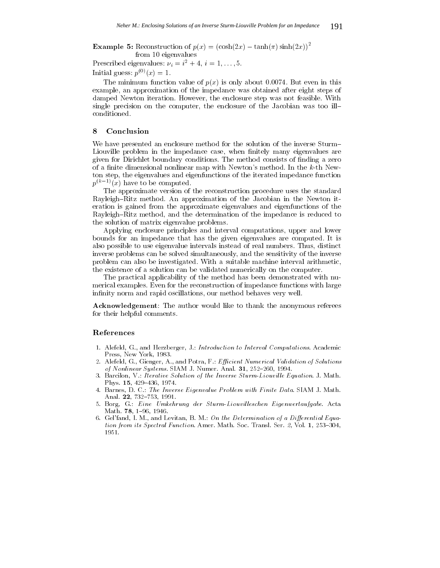**Example 5:** Reconstruction of  $p(x) = (\cosh(2x) - \tanh(\pi) \sinh(2x))$ from 10 eigenvalues

Prescribed eigenvalues:  $\nu_i = i^2 + 4, i = 1, \ldots, 5$ . Initial guess:  $p^{(0)}(x) = 1$ .

The minimum function value of  $p(x)$  is only about 0.0074. But even in this example, an approximation of the impedance was obtained after eight steps of damped Newton iteration. However, the enclosure step was not feasible. With single precision on the computer, the enclosure of the Jacobian was too ill conditioned.

# 8Conclusion

We have presented an enclosure method for the solution of the inverse Sturm Liouville problem in the impedance case, when finitely many eigenvalues are given for Dirichlet boundary conditions. The method consists of finding a zero of a finite dimensional nonlinear map with Newton's method. In the  $k$ -th Newton step, the eigenvalues and eigenfunctions of the iterated impedance function  $p^{(k-1)}(x)$  have to be computed.

The approximate version of the reconstruction procedure uses the standard Rayleigh–Ritz method. An approximation of the Jacobian in the Newton iteration isgained from the approximate eigenvalues and eigenfunctions of the Rayleigh-Ritz method, and the determination of the impedance is reduced to the solution of matrix eigenvalue problems.

Applying enclosure principles and interval computations, upper and lower bounds for an impedance that has the given eigenvalues are computed. It is also possible to use eigenvalue intervals instead of real numbers. Thus, distinct inverse problems can be solved simultaneously, and the sensitivity of the inverse problem can also be investigated. With a suitable machine interval arithmetic, the existence of a solution can be validated numerically on the computer.

The practical applicability of the method has been demonstrated with numerical examples. Even for the reconstruction of impedance functions with large infinity norm and rapid oscillations, our method behaves very well.

Acknowledgement: The author would like to thank the anonymous referees for their helpful comments.

# References

- 1. Alefeld, G., and Herzberger, J.: Introduction to Interval Computations. Academic Press, New York, 1983.
- 2. Alefeld, G., Gienger, A., and Potra, F.: Efficient Numerical Validation of Solutions of Nonlinear Systems. SIAM J. Numer. Anal.  $31, 252{-}260, 1994$ .
- 3. Barcilon, V.: Iterative Solution of the Inverse Sturm-Liouville Equation. J. Math. Phys. 15, 429-436, 1974.
- 4. Barnes, D. C.: The Inverse Eigenvalue Problem with Finite Data. SIAM J. Math. Anal. 22, 732-753, 1991.
- 5. Borg, G.: Eine Umkehrung der Sturm-Liouvilleschen Eigenwertaufgabe. Acta Math. 78, 1-96, 1946.
- 6. Gel'fand, I. M., and Levitan, B. M.: On the Determination of a Differential Equation from its Spectral Function. Amer. Math. Soc. Transl. Ser. 2, Vol. 1, 253-304, 1951.